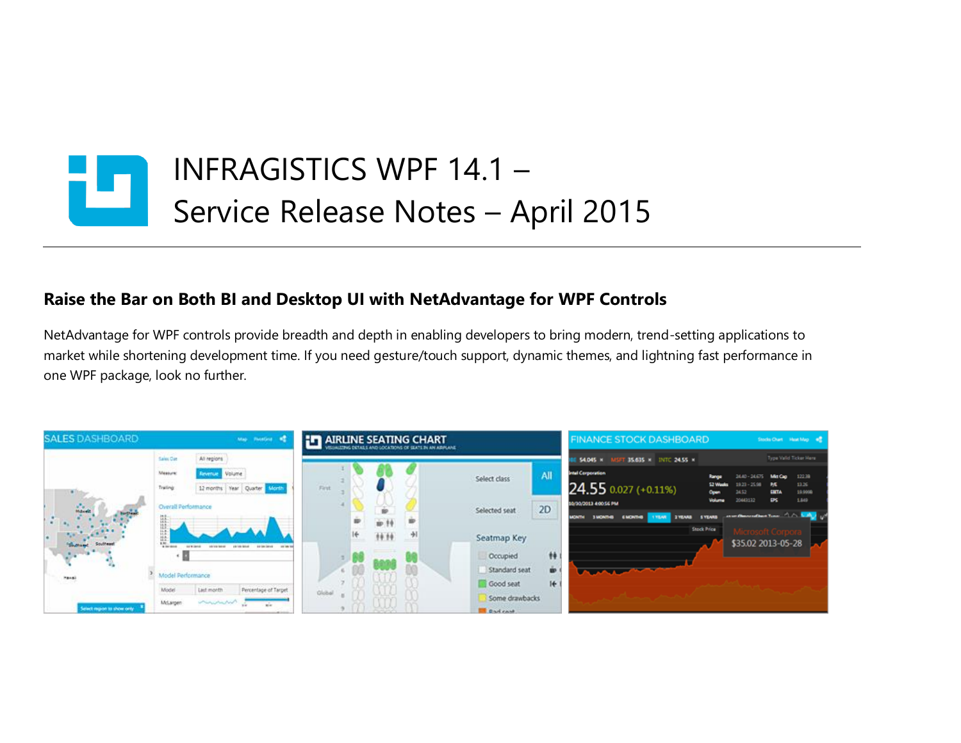

## **Raise the Bar on Both BI and Desktop UI with NetAdvantage for WPF Controls**

NetAdvantage for WPF controls provide breadth and depth in enabling developers to bring modern, trend-setting applications to market while shortening development time. If you need gesture/touch support, dynamic themes, and lightning fast performance in one WPF package, look no further.

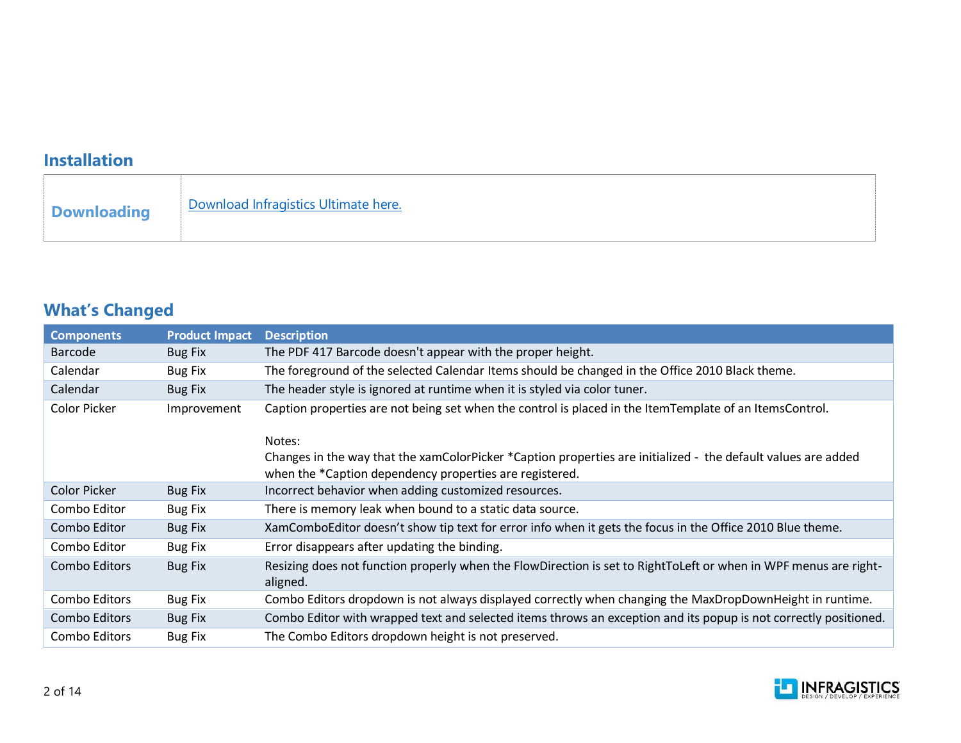## **Installation**

## **What's Changed**

| <b>Components</b>   | <b>Product Impact</b> | <b>Description</b>                                                                                                                                                       |
|---------------------|-----------------------|--------------------------------------------------------------------------------------------------------------------------------------------------------------------------|
| <b>Barcode</b>      | <b>Bug Fix</b>        | The PDF 417 Barcode doesn't appear with the proper height.                                                                                                               |
| Calendar            | <b>Bug Fix</b>        | The foreground of the selected Calendar Items should be changed in the Office 2010 Black theme.                                                                          |
| Calendar            | <b>Bug Fix</b>        | The header style is ignored at runtime when it is styled via color tuner.                                                                                                |
| Color Picker        | Improvement           | Caption properties are not being set when the control is placed in the ItemTemplate of an ItemsControl.                                                                  |
|                     |                       | Notes:                                                                                                                                                                   |
|                     |                       | Changes in the way that the xamColorPicker *Caption properties are initialized - the default values are added<br>when the *Caption dependency properties are registered. |
| <b>Color Picker</b> | <b>Bug Fix</b>        | Incorrect behavior when adding customized resources.                                                                                                                     |
| Combo Editor        | <b>Bug Fix</b>        | There is memory leak when bound to a static data source.                                                                                                                 |
| Combo Editor        | <b>Bug Fix</b>        | XamComboEditor doesn't show tip text for error info when it gets the focus in the Office 2010 Blue theme.                                                                |
| Combo Editor        | <b>Bug Fix</b>        | Error disappears after updating the binding.                                                                                                                             |
| Combo Editors       | <b>Bug Fix</b>        | Resizing does not function properly when the FlowDirection is set to RightToLeft or when in WPF menus are right-<br>aligned.                                             |
| Combo Editors       | <b>Bug Fix</b>        | Combo Editors dropdown is not always displayed correctly when changing the MaxDropDownHeight in runtime.                                                                 |
| Combo Editors       | <b>Bug Fix</b>        | Combo Editor with wrapped text and selected items throws an exception and its popup is not correctly positioned.                                                         |
| Combo Editors       | <b>Bug Fix</b>        | The Combo Editors dropdown height is not preserved.                                                                                                                      |

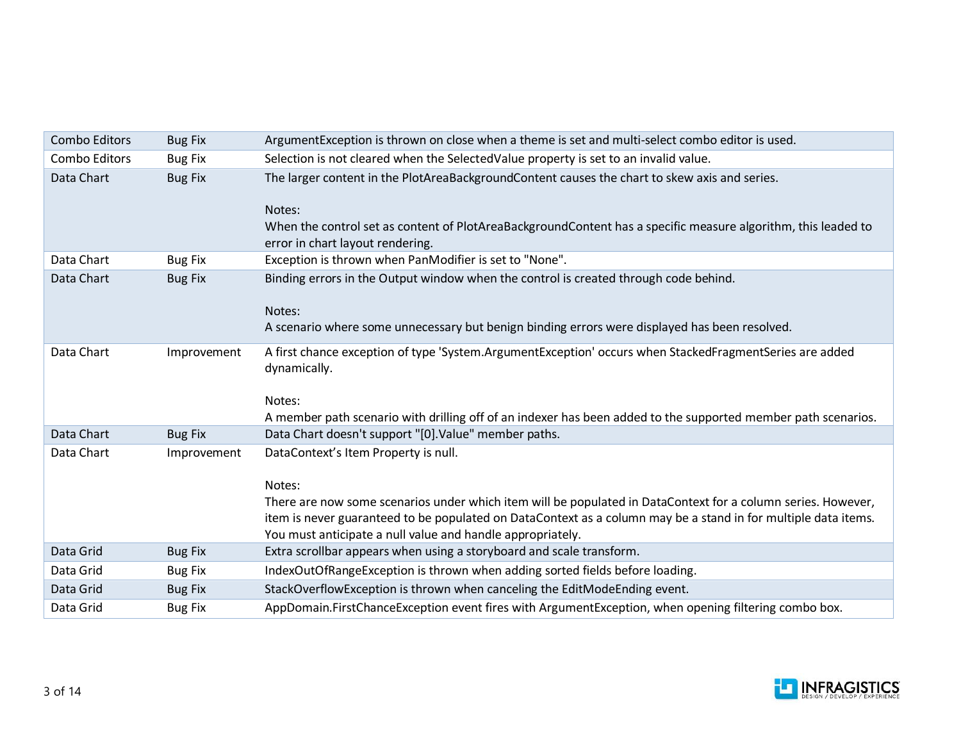| Combo Editors | <b>Bug Fix</b> | ArgumentException is thrown on close when a theme is set and multi-select combo editor is used.                                                                                                                                                                                                                                                |
|---------------|----------------|------------------------------------------------------------------------------------------------------------------------------------------------------------------------------------------------------------------------------------------------------------------------------------------------------------------------------------------------|
| Combo Editors | <b>Bug Fix</b> | Selection is not cleared when the SelectedValue property is set to an invalid value.                                                                                                                                                                                                                                                           |
| Data Chart    | <b>Bug Fix</b> | The larger content in the PlotAreaBackgroundContent causes the chart to skew axis and series.<br>Notes:<br>When the control set as content of PlotAreaBackgroundContent has a specific measure algorithm, this leaded to<br>error in chart layout rendering.                                                                                   |
| Data Chart    | <b>Bug Fix</b> | Exception is thrown when PanModifier is set to "None".                                                                                                                                                                                                                                                                                         |
| Data Chart    | <b>Bug Fix</b> | Binding errors in the Output window when the control is created through code behind.<br>Notes:<br>A scenario where some unnecessary but benign binding errors were displayed has been resolved.                                                                                                                                                |
| Data Chart    | Improvement    | A first chance exception of type 'System.ArgumentException' occurs when StackedFragmentSeries are added<br>dynamically.<br>Notes:<br>A member path scenario with drilling off of an indexer has been added to the supported member path scenarios.                                                                                             |
| Data Chart    | <b>Bug Fix</b> | Data Chart doesn't support "[0]. Value" member paths.                                                                                                                                                                                                                                                                                          |
| Data Chart    | Improvement    | DataContext's Item Property is null.<br>Notes:<br>There are now some scenarios under which item will be populated in DataContext for a column series. However,<br>item is never guaranteed to be populated on DataContext as a column may be a stand in for multiple data items.<br>You must anticipate a null value and handle appropriately. |
| Data Grid     | <b>Bug Fix</b> | Extra scrollbar appears when using a storyboard and scale transform.                                                                                                                                                                                                                                                                           |
| Data Grid     | <b>Bug Fix</b> | IndexOutOfRangeException is thrown when adding sorted fields before loading.                                                                                                                                                                                                                                                                   |
| Data Grid     | <b>Bug Fix</b> | StackOverflowException is thrown when canceling the EditModeEnding event.                                                                                                                                                                                                                                                                      |
| Data Grid     | <b>Bug Fix</b> | AppDomain.FirstChanceException event fires with ArgumentException, when opening filtering combo box.                                                                                                                                                                                                                                           |

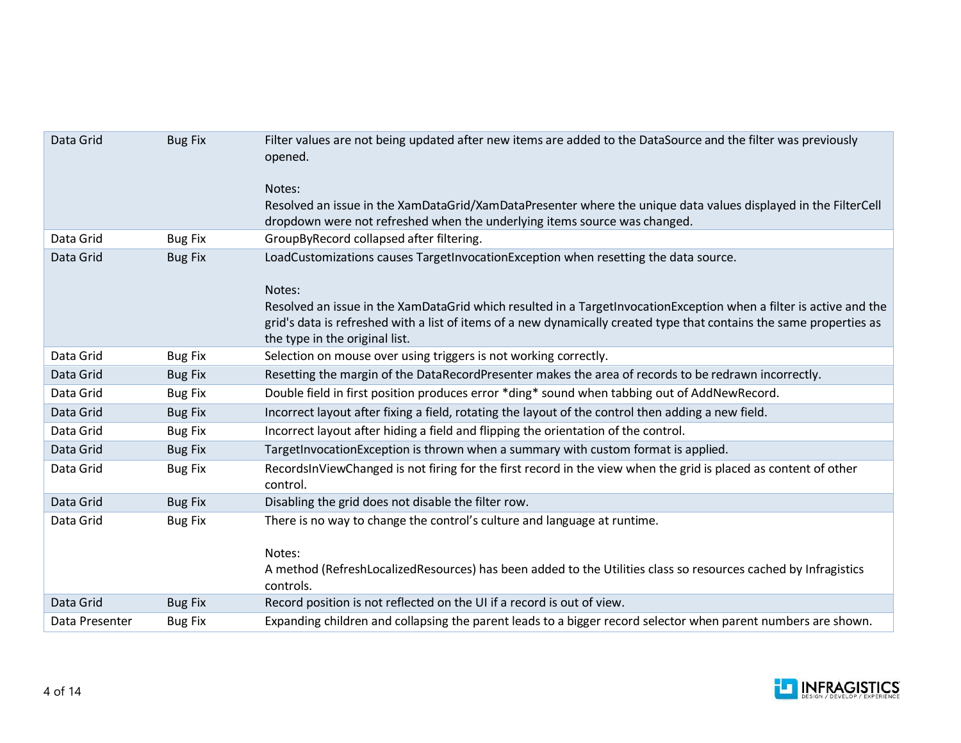| Data Grid      | <b>Bug Fix</b> | Filter values are not being updated after new items are added to the DataSource and the filter was previously<br>opened.<br>Notes:                                                                                                                                           |
|----------------|----------------|------------------------------------------------------------------------------------------------------------------------------------------------------------------------------------------------------------------------------------------------------------------------------|
|                |                | Resolved an issue in the XamDataGrid/XamDataPresenter where the unique data values displayed in the FilterCell<br>dropdown were not refreshed when the underlying items source was changed.                                                                                  |
| Data Grid      | <b>Bug Fix</b> | GroupByRecord collapsed after filtering.                                                                                                                                                                                                                                     |
| Data Grid      | <b>Bug Fix</b> | LoadCustomizations causes TargetInvocationException when resetting the data source.                                                                                                                                                                                          |
|                |                | Notes:                                                                                                                                                                                                                                                                       |
|                |                | Resolved an issue in the XamDataGrid which resulted in a TargetInvocationException when a filter is active and the<br>grid's data is refreshed with a list of items of a new dynamically created type that contains the same properties as<br>the type in the original list. |
| Data Grid      | <b>Bug Fix</b> | Selection on mouse over using triggers is not working correctly.                                                                                                                                                                                                             |
| Data Grid      | <b>Bug Fix</b> | Resetting the margin of the DataRecordPresenter makes the area of records to be redrawn incorrectly.                                                                                                                                                                         |
| Data Grid      | <b>Bug Fix</b> | Double field in first position produces error *ding* sound when tabbing out of AddNewRecord.                                                                                                                                                                                 |
| Data Grid      | <b>Bug Fix</b> | Incorrect layout after fixing a field, rotating the layout of the control then adding a new field.                                                                                                                                                                           |
| Data Grid      | <b>Bug Fix</b> | Incorrect layout after hiding a field and flipping the orientation of the control.                                                                                                                                                                                           |
| Data Grid      | <b>Bug Fix</b> | TargetInvocationException is thrown when a summary with custom format is applied.                                                                                                                                                                                            |
| Data Grid      | <b>Bug Fix</b> | RecordsInViewChanged is not firing for the first record in the view when the grid is placed as content of other<br>control.                                                                                                                                                  |
| Data Grid      | <b>Bug Fix</b> | Disabling the grid does not disable the filter row.                                                                                                                                                                                                                          |
| Data Grid      | <b>Bug Fix</b> | There is no way to change the control's culture and language at runtime.                                                                                                                                                                                                     |
|                |                | Notes:<br>A method (RefreshLocalizedResources) has been added to the Utilities class so resources cached by Infragistics<br>controls.                                                                                                                                        |
| Data Grid      | <b>Bug Fix</b> | Record position is not reflected on the UI if a record is out of view.                                                                                                                                                                                                       |
| Data Presenter | <b>Bug Fix</b> | Expanding children and collapsing the parent leads to a bigger record selector when parent numbers are shown.                                                                                                                                                                |

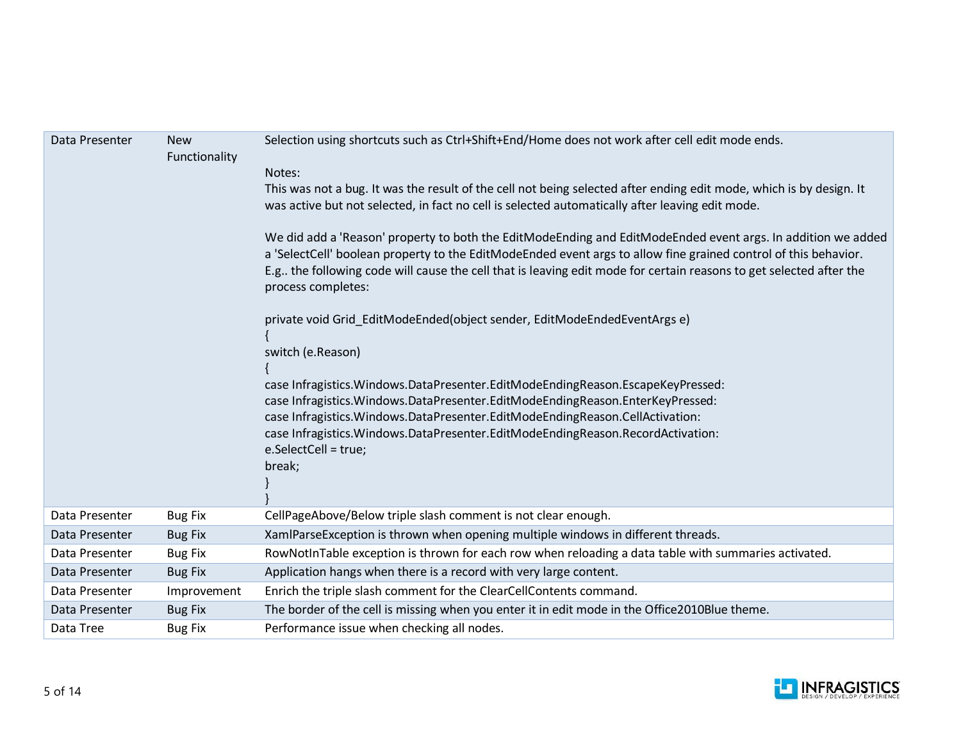| Data Presenter | <b>New</b><br>Functionality | Selection using shortcuts such as Ctrl+Shift+End/Home does not work after cell edit mode ends.<br>Notes:<br>This was not a bug. It was the result of the cell not being selected after ending edit mode, which is by design. It<br>was active but not selected, in fact no cell is selected automatically after leaving edit mode.<br>We did add a 'Reason' property to both the EditModeEnding and EditModeEnded event args. In addition we added<br>a 'SelectCell' boolean property to the EditModeEnded event args to allow fine grained control of this behavior.<br>E.g the following code will cause the cell that is leaving edit mode for certain reasons to get selected after the<br>process completes:<br>private void Grid EditModeEnded(object sender, EditModeEndedEventArgs e)<br>switch (e.Reason)<br>case Infragistics. Windows. DataPresenter. EditModeEndingReason. EscapeKeyPressed:<br>case Infragistics. Windows. Data Presenter. EditModeEnding Reason. EnterKey Pressed:<br>case Infragistics. Windows. Data Presenter. EditMode Ending Reason. CellActivation:<br>case Infragistics. Windows. DataPresenter. EditModeEndingReason. RecordActivation:<br>e.SelectCell = true;<br>break; |
|----------------|-----------------------------|-----------------------------------------------------------------------------------------------------------------------------------------------------------------------------------------------------------------------------------------------------------------------------------------------------------------------------------------------------------------------------------------------------------------------------------------------------------------------------------------------------------------------------------------------------------------------------------------------------------------------------------------------------------------------------------------------------------------------------------------------------------------------------------------------------------------------------------------------------------------------------------------------------------------------------------------------------------------------------------------------------------------------------------------------------------------------------------------------------------------------------------------------------------------------------------------------------------------|
| Data Presenter | <b>Bug Fix</b>              | CellPageAbove/Below triple slash comment is not clear enough.                                                                                                                                                                                                                                                                                                                                                                                                                                                                                                                                                                                                                                                                                                                                                                                                                                                                                                                                                                                                                                                                                                                                                   |
| Data Presenter | <b>Bug Fix</b>              | XamIParseException is thrown when opening multiple windows in different threads.                                                                                                                                                                                                                                                                                                                                                                                                                                                                                                                                                                                                                                                                                                                                                                                                                                                                                                                                                                                                                                                                                                                                |
| Data Presenter | <b>Bug Fix</b>              | RowNotInTable exception is thrown for each row when reloading a data table with summaries activated.                                                                                                                                                                                                                                                                                                                                                                                                                                                                                                                                                                                                                                                                                                                                                                                                                                                                                                                                                                                                                                                                                                            |
| Data Presenter | <b>Bug Fix</b>              | Application hangs when there is a record with very large content.                                                                                                                                                                                                                                                                                                                                                                                                                                                                                                                                                                                                                                                                                                                                                                                                                                                                                                                                                                                                                                                                                                                                               |
| Data Presenter | Improvement                 | Enrich the triple slash comment for the ClearCellContents command.                                                                                                                                                                                                                                                                                                                                                                                                                                                                                                                                                                                                                                                                                                                                                                                                                                                                                                                                                                                                                                                                                                                                              |
| Data Presenter | <b>Bug Fix</b>              | The border of the cell is missing when you enter it in edit mode in the Office2010Blue theme.                                                                                                                                                                                                                                                                                                                                                                                                                                                                                                                                                                                                                                                                                                                                                                                                                                                                                                                                                                                                                                                                                                                   |
| Data Tree      | <b>Bug Fix</b>              | Performance issue when checking all nodes.                                                                                                                                                                                                                                                                                                                                                                                                                                                                                                                                                                                                                                                                                                                                                                                                                                                                                                                                                                                                                                                                                                                                                                      |

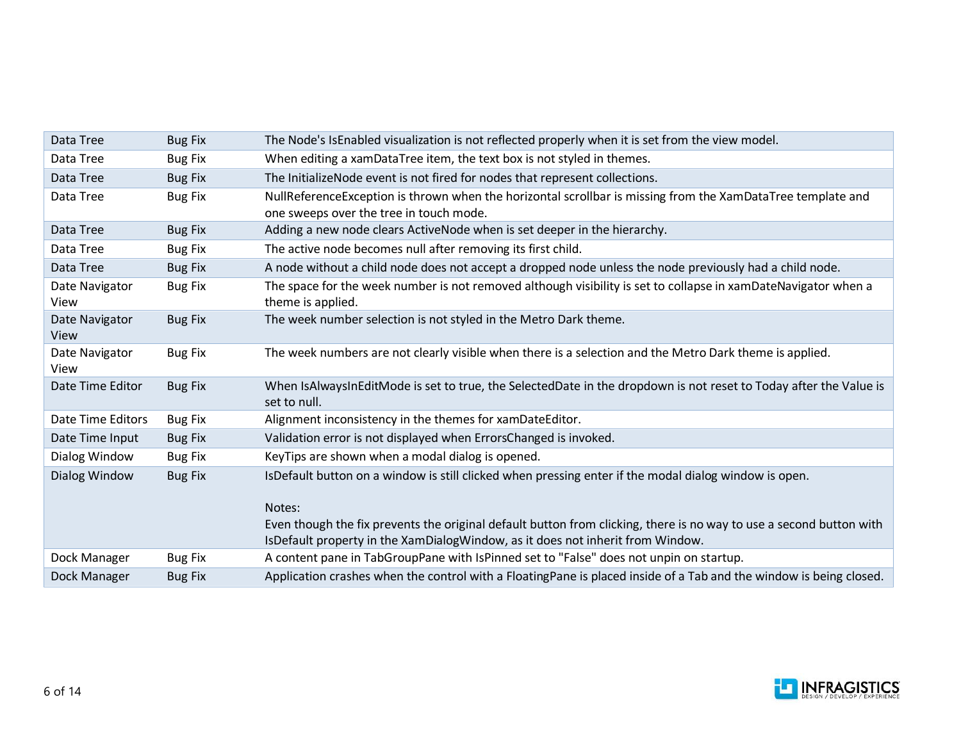| Data Tree              | <b>Bug Fix</b> | The Node's IsEnabled visualization is not reflected properly when it is set from the view model.                                                                                                      |
|------------------------|----------------|-------------------------------------------------------------------------------------------------------------------------------------------------------------------------------------------------------|
| Data Tree              | <b>Bug Fix</b> | When editing a xamDataTree item, the text box is not styled in themes.                                                                                                                                |
| Data Tree              | <b>Bug Fix</b> | The Initialize Node event is not fired for nodes that represent collections.                                                                                                                          |
| Data Tree              | <b>Bug Fix</b> | NullReferenceException is thrown when the horizontal scrollbar is missing from the XamDataTree template and<br>one sweeps over the tree in touch mode.                                                |
| Data Tree              | <b>Bug Fix</b> | Adding a new node clears ActiveNode when is set deeper in the hierarchy.                                                                                                                              |
| Data Tree              | <b>Bug Fix</b> | The active node becomes null after removing its first child.                                                                                                                                          |
| Data Tree              | <b>Bug Fix</b> | A node without a child node does not accept a dropped node unless the node previously had a child node.                                                                                               |
| Date Navigator<br>View | <b>Bug Fix</b> | The space for the week number is not removed although visibility is set to collapse in xamDateNavigator when a<br>theme is applied.                                                                   |
| Date Navigator<br>View | <b>Bug Fix</b> | The week number selection is not styled in the Metro Dark theme.                                                                                                                                      |
| Date Navigator<br>View | <b>Bug Fix</b> | The week numbers are not clearly visible when there is a selection and the Metro Dark theme is applied.                                                                                               |
| Date Time Editor       | <b>Bug Fix</b> | When IsAlwaysInEditMode is set to true, the SelectedDate in the dropdown is not reset to Today after the Value is<br>set to null.                                                                     |
| Date Time Editors      | <b>Bug Fix</b> | Alignment inconsistency in the themes for xamDateEditor.                                                                                                                                              |
| Date Time Input        | <b>Bug Fix</b> | Validation error is not displayed when ErrorsChanged is invoked.                                                                                                                                      |
| Dialog Window          | <b>Bug Fix</b> | KeyTips are shown when a modal dialog is opened.                                                                                                                                                      |
| Dialog Window          | <b>Bug Fix</b> | IsDefault button on a window is still clicked when pressing enter if the modal dialog window is open.                                                                                                 |
|                        |                | Notes:                                                                                                                                                                                                |
|                        |                | Even though the fix prevents the original default button from clicking, there is no way to use a second button with<br>IsDefault property in the XamDialogWindow, as it does not inherit from Window. |
| Dock Manager           | <b>Bug Fix</b> | A content pane in TabGroupPane with IsPinned set to "False" does not unpin on startup.                                                                                                                |
| Dock Manager           | <b>Bug Fix</b> | Application crashes when the control with a FloatingPane is placed inside of a Tab and the window is being closed.                                                                                    |

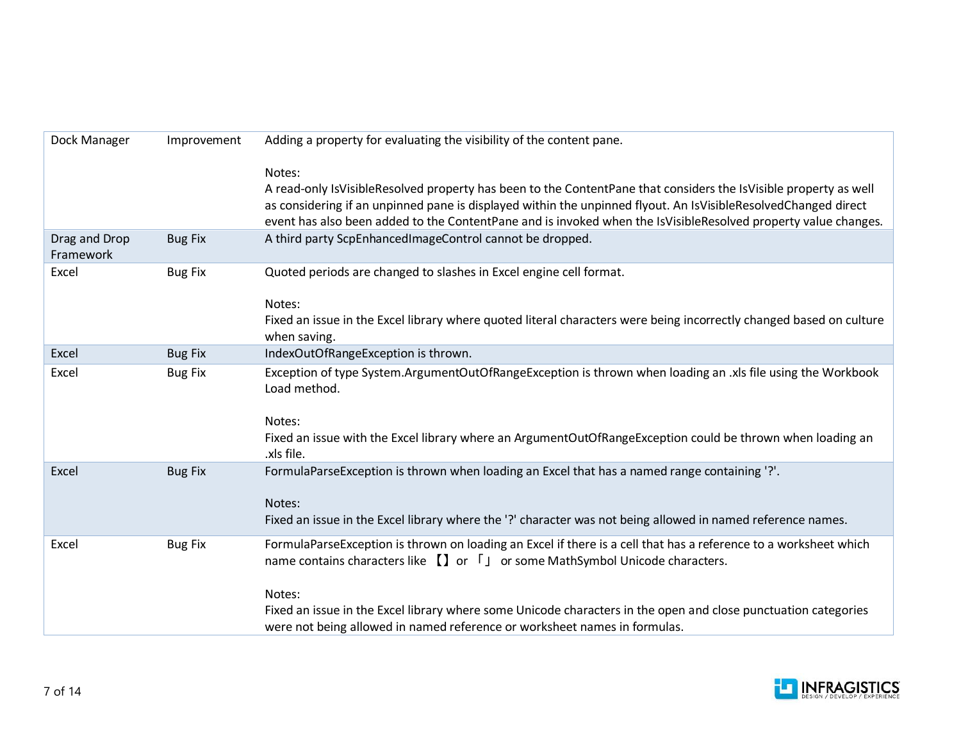| Dock Manager               | Improvement    | Adding a property for evaluating the visibility of the content pane.                                                                                                                                                                                                                                                                                           |
|----------------------------|----------------|----------------------------------------------------------------------------------------------------------------------------------------------------------------------------------------------------------------------------------------------------------------------------------------------------------------------------------------------------------------|
|                            |                | Notes:<br>A read-only IsVisibleResolved property has been to the ContentPane that considers the IsVisible property as well<br>as considering if an unpinned pane is displayed within the unpinned flyout. An IsVisibleResolvedChanged direct<br>event has also been added to the ContentPane and is invoked when the IsVisibleResolved property value changes. |
| Drag and Drop<br>Framework | <b>Bug Fix</b> | A third party ScpEnhancedImageControl cannot be dropped.                                                                                                                                                                                                                                                                                                       |
| Excel                      | <b>Bug Fix</b> | Quoted periods are changed to slashes in Excel engine cell format.                                                                                                                                                                                                                                                                                             |
|                            |                | Notes:<br>Fixed an issue in the Excel library where quoted literal characters were being incorrectly changed based on culture<br>when saving.                                                                                                                                                                                                                  |
| Excel                      | <b>Bug Fix</b> | IndexOutOfRangeException is thrown.                                                                                                                                                                                                                                                                                                                            |
| Excel                      | <b>Bug Fix</b> | Exception of type System.ArgumentOutOfRangeException is thrown when loading an .xls file using the Workbook<br>Load method.                                                                                                                                                                                                                                    |
|                            |                | Notes:<br>Fixed an issue with the Excel library where an ArgumentOutOfRangeException could be thrown when loading an<br>.xls file.                                                                                                                                                                                                                             |
| Excel                      | <b>Bug Fix</b> | FormulaParseException is thrown when loading an Excel that has a named range containing '?'.                                                                                                                                                                                                                                                                   |
|                            |                | Notes:                                                                                                                                                                                                                                                                                                                                                         |
|                            |                | Fixed an issue in the Excel library where the '?' character was not being allowed in named reference names.                                                                                                                                                                                                                                                    |
| Excel                      | <b>Bug Fix</b> | FormulaParseException is thrown on loading an Excel if there is a cell that has a reference to a worksheet which<br>name contains characters like $\iiint$ or $\iiint$ or some MathSymbol Unicode characters.                                                                                                                                                  |
|                            |                | Notes:                                                                                                                                                                                                                                                                                                                                                         |
|                            |                | Fixed an issue in the Excel library where some Unicode characters in the open and close punctuation categories<br>were not being allowed in named reference or worksheet names in formulas.                                                                                                                                                                    |

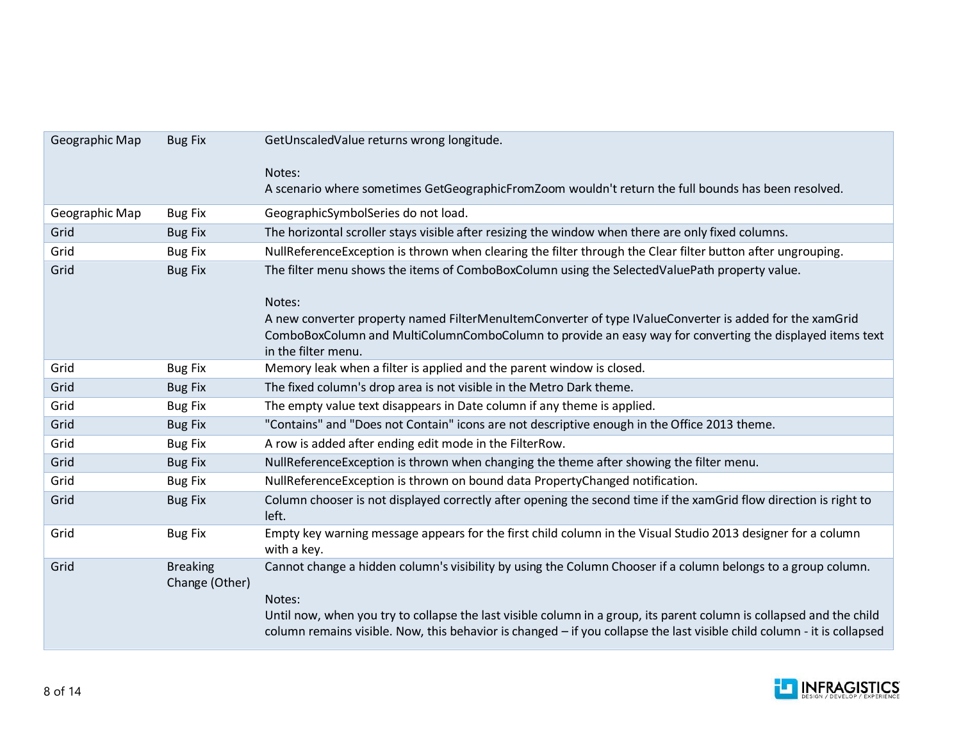| Geographic Map | <b>Bug Fix</b>                    | GetUnscaledValue returns wrong longitude.                                                                                       |
|----------------|-----------------------------------|---------------------------------------------------------------------------------------------------------------------------------|
|                |                                   | Notes:                                                                                                                          |
|                |                                   | A scenario where sometimes GetGeographicFromZoom wouldn't return the full bounds has been resolved.                             |
| Geographic Map | <b>Bug Fix</b>                    | GeographicSymbolSeries do not load.                                                                                             |
| Grid           | <b>Bug Fix</b>                    | The horizontal scroller stays visible after resizing the window when there are only fixed columns.                              |
| Grid           | <b>Bug Fix</b>                    | NullReferenceException is thrown when clearing the filter through the Clear filter button after ungrouping.                     |
| Grid           | <b>Bug Fix</b>                    | The filter menu shows the items of ComboBoxColumn using the SelectedValuePath property value.                                   |
|                |                                   |                                                                                                                                 |
|                |                                   | Notes:                                                                                                                          |
|                |                                   | A new converter property named FilterMenuItemConverter of type IValueConverter is added for the xamGrid                         |
|                |                                   | ComboBoxColumn and MultiColumnComboColumn to provide an easy way for converting the displayed items text<br>in the filter menu. |
| Grid           | <b>Bug Fix</b>                    | Memory leak when a filter is applied and the parent window is closed.                                                           |
| Grid           | <b>Bug Fix</b>                    | The fixed column's drop area is not visible in the Metro Dark theme.                                                            |
| Grid           | <b>Bug Fix</b>                    | The empty value text disappears in Date column if any theme is applied.                                                         |
| Grid           | <b>Bug Fix</b>                    | "Contains" and "Does not Contain" icons are not descriptive enough in the Office 2013 theme.                                    |
| Grid           | <b>Bug Fix</b>                    | A row is added after ending edit mode in the FilterRow.                                                                         |
| Grid           | <b>Bug Fix</b>                    | NullReferenceException is thrown when changing the theme after showing the filter menu.                                         |
| Grid           | <b>Bug Fix</b>                    | NullReferenceException is thrown on bound data PropertyChanged notification.                                                    |
| Grid           | <b>Bug Fix</b>                    | Column chooser is not displayed correctly after opening the second time if the xamGrid flow direction is right to<br>left.      |
| Grid           | <b>Bug Fix</b>                    | Empty key warning message appears for the first child column in the Visual Studio 2013 designer for a column<br>with a key.     |
| Grid           | <b>Breaking</b><br>Change (Other) | Cannot change a hidden column's visibility by using the Column Chooser if a column belongs to a group column.                   |
|                |                                   | Notes:                                                                                                                          |
|                |                                   | Until now, when you try to collapse the last visible column in a group, its parent column is collapsed and the child            |
|                |                                   | column remains visible. Now, this behavior is changed - if you collapse the last visible child column - it is collapsed         |

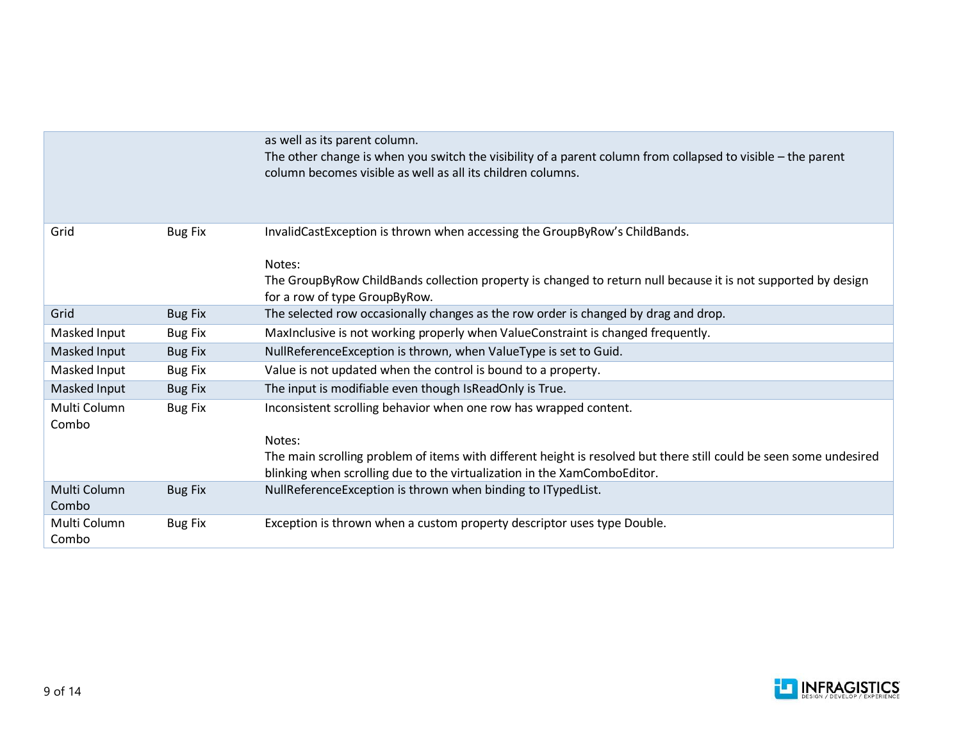|                       |                | as well as its parent column.<br>The other change is when you switch the visibility of a parent column from collapsed to visible – the parent<br>column becomes visible as well as all its children columns.                                                                  |
|-----------------------|----------------|-------------------------------------------------------------------------------------------------------------------------------------------------------------------------------------------------------------------------------------------------------------------------------|
| Grid                  | <b>Bug Fix</b> | InvalidCastException is thrown when accessing the GroupByRow's ChildBands.<br>Notes:<br>The GroupByRow ChildBands collection property is changed to return null because it is not supported by design<br>for a row of type GroupByRow.                                        |
| Grid                  | <b>Bug Fix</b> | The selected row occasionally changes as the row order is changed by drag and drop.                                                                                                                                                                                           |
| Masked Input          | <b>Bug Fix</b> | Maxinclusive is not working properly when ValueConstraint is changed frequently.                                                                                                                                                                                              |
| Masked Input          | <b>Bug Fix</b> | NullReferenceException is thrown, when ValueType is set to Guid.                                                                                                                                                                                                              |
| Masked Input          | <b>Bug Fix</b> | Value is not updated when the control is bound to a property.                                                                                                                                                                                                                 |
| Masked Input          | <b>Bug Fix</b> | The input is modifiable even though IsReadOnly is True.                                                                                                                                                                                                                       |
| Multi Column<br>Combo | <b>Bug Fix</b> | Inconsistent scrolling behavior when one row has wrapped content.<br>Notes:<br>The main scrolling problem of items with different height is resolved but there still could be seen some undesired<br>blinking when scrolling due to the virtualization in the XamComboEditor. |
| Multi Column<br>Combo | <b>Bug Fix</b> | NullReferenceException is thrown when binding to ITypedList.                                                                                                                                                                                                                  |
| Multi Column<br>Combo | <b>Bug Fix</b> | Exception is thrown when a custom property descriptor uses type Double.                                                                                                                                                                                                       |

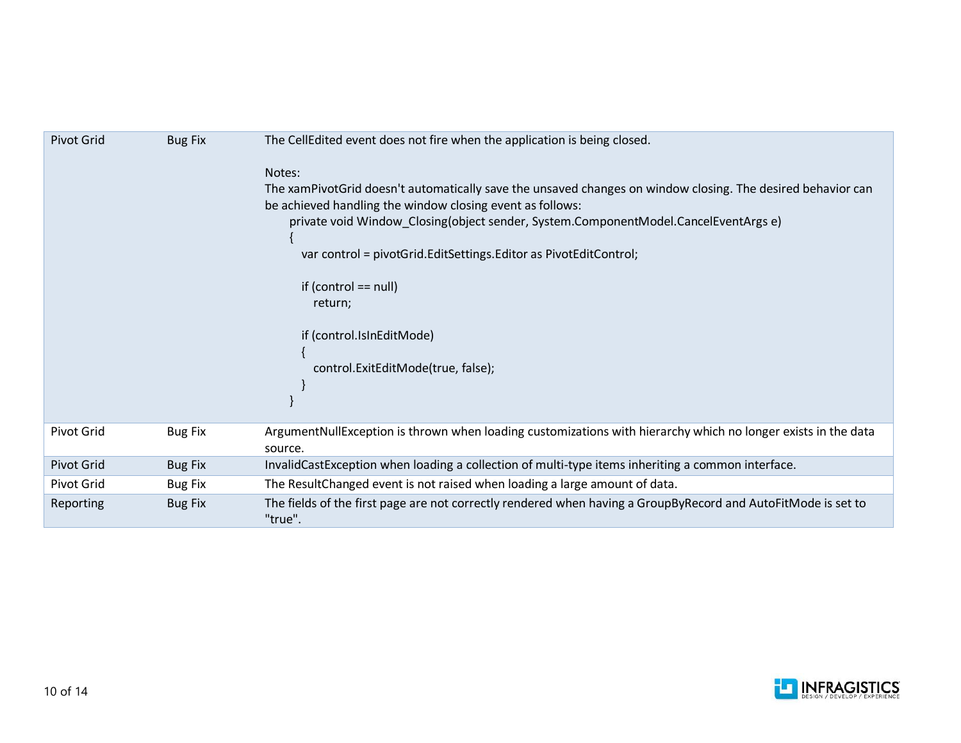| <b>Pivot Grid</b> | <b>Bug Fix</b> | The CellEdited event does not fire when the application is being closed.                                                                                                                                                                                                                                                                                                                                                                              |
|-------------------|----------------|-------------------------------------------------------------------------------------------------------------------------------------------------------------------------------------------------------------------------------------------------------------------------------------------------------------------------------------------------------------------------------------------------------------------------------------------------------|
|                   |                | Notes:<br>The xamPivotGrid doesn't automatically save the unsaved changes on window closing. The desired behavior can<br>be achieved handling the window closing event as follows:<br>private void Window Closing(object sender, System.ComponentModel.CancelEventArgs e)<br>var control = pivotGrid.EditSettings.Editor as PivotEditControl;<br>if (control $==$ null)<br>return;<br>if (control.IsInEditMode)<br>control.ExitEditMode(true, false); |
| <b>Pivot Grid</b> | <b>Bug Fix</b> | ArgumentNullException is thrown when loading customizations with hierarchy which no longer exists in the data<br>source.                                                                                                                                                                                                                                                                                                                              |
| <b>Pivot Grid</b> | <b>Bug Fix</b> | InvalidCastException when loading a collection of multi-type items inheriting a common interface.                                                                                                                                                                                                                                                                                                                                                     |
| Pivot Grid        | <b>Bug Fix</b> | The Result Changed event is not raised when loading a large amount of data.                                                                                                                                                                                                                                                                                                                                                                           |
| Reporting         | <b>Bug Fix</b> | The fields of the first page are not correctly rendered when having a GroupByRecord and AutoFitMode is set to<br>"true".                                                                                                                                                                                                                                                                                                                              |

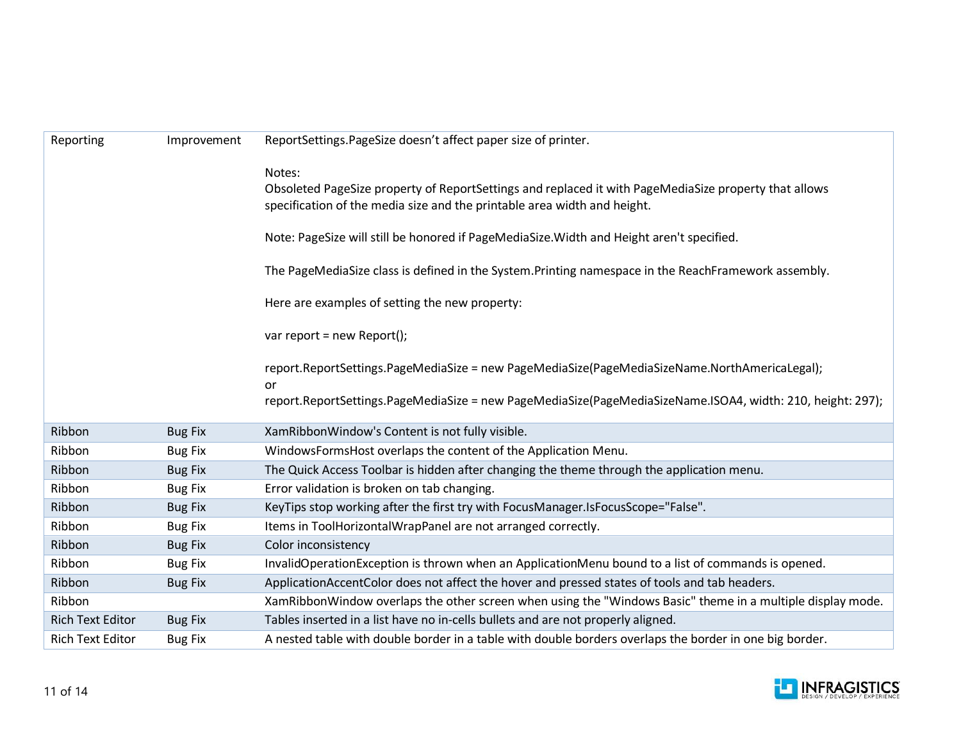| Reporting               | Improvement    | ReportSettings.PageSize doesn't affect paper size of printer.                                                                                                                     |
|-------------------------|----------------|-----------------------------------------------------------------------------------------------------------------------------------------------------------------------------------|
|                         |                | Notes:                                                                                                                                                                            |
|                         |                | Obsoleted PageSize property of ReportSettings and replaced it with PageMediaSize property that allows<br>specification of the media size and the printable area width and height. |
|                         |                | Note: PageSize will still be honored if PageMediaSize. Width and Height aren't specified.                                                                                         |
|                         |                | The PageMediaSize class is defined in the System. Printing namespace in the ReachFramework assembly.                                                                              |
|                         |                | Here are examples of setting the new property:                                                                                                                                    |
|                         |                | var report = new Report();                                                                                                                                                        |
|                         |                | report.ReportSettings.PageMediaSize = new PageMediaSize(PageMediaSizeName.NorthAmericaLegal);<br>or                                                                               |
|                         |                | report.ReportSettings.PageMediaSize = new PageMediaSize(PageMediaSizeName.ISOA4, width: 210, height: 297);                                                                        |
| Ribbon                  | <b>Bug Fix</b> | XamRibbonWindow's Content is not fully visible.                                                                                                                                   |
| Ribbon                  | <b>Bug Fix</b> | WindowsFormsHost overlaps the content of the Application Menu.                                                                                                                    |
| Ribbon                  | <b>Bug Fix</b> | The Quick Access Toolbar is hidden after changing the theme through the application menu.                                                                                         |
| Ribbon                  | <b>Bug Fix</b> | Error validation is broken on tab changing.                                                                                                                                       |
| Ribbon                  | <b>Bug Fix</b> | KeyTips stop working after the first try with FocusManager.IsFocusScope="False".                                                                                                  |
| Ribbon                  | <b>Bug Fix</b> | Items in ToolHorizontalWrapPanel are not arranged correctly.                                                                                                                      |
| Ribbon                  | <b>Bug Fix</b> | Color inconsistency                                                                                                                                                               |
| Ribbon                  | <b>Bug Fix</b> | InvalidOperationException is thrown when an ApplicationMenu bound to a list of commands is opened.                                                                                |
| Ribbon                  | <b>Bug Fix</b> | ApplicationAccentColor does not affect the hover and pressed states of tools and tab headers.                                                                                     |
| Ribbon                  |                | XamRibbonWindow overlaps the other screen when using the "Windows Basic" theme in a multiple display mode.                                                                        |
| <b>Rich Text Editor</b> | <b>Bug Fix</b> | Tables inserted in a list have no in-cells bullets and are not properly aligned.                                                                                                  |
| <b>Rich Text Editor</b> | <b>Bug Fix</b> | A nested table with double border in a table with double borders overlaps the border in one big border.                                                                           |

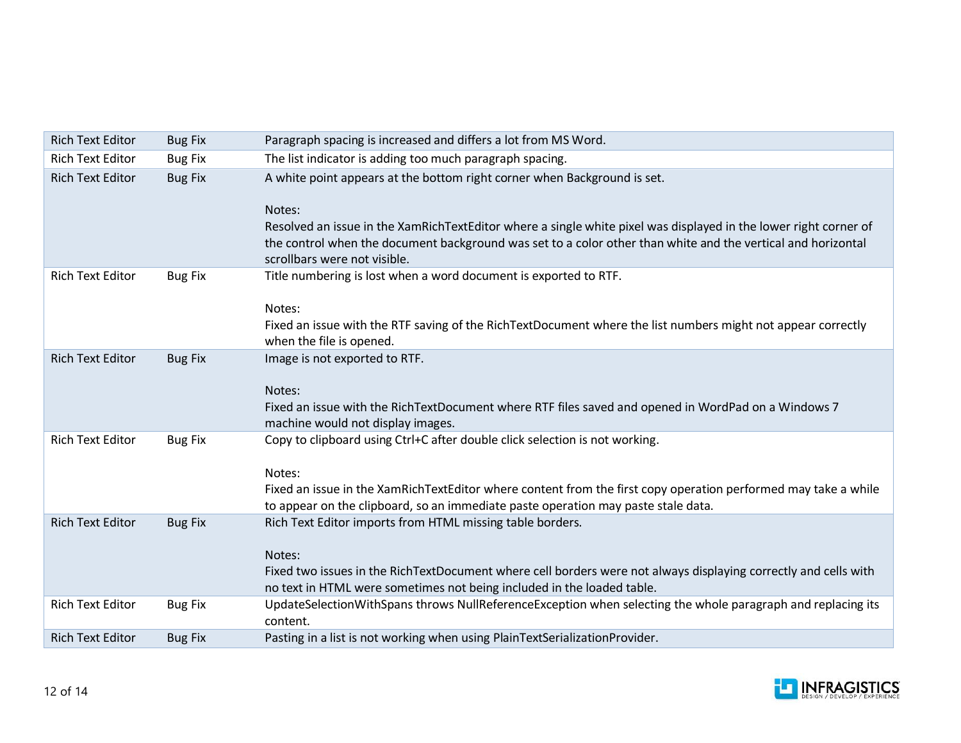| <b>Rich Text Editor</b> | <b>Bug Fix</b> | Paragraph spacing is increased and differs a lot from MS Word.                                                                                                                                                                                                                                                         |
|-------------------------|----------------|------------------------------------------------------------------------------------------------------------------------------------------------------------------------------------------------------------------------------------------------------------------------------------------------------------------------|
| <b>Rich Text Editor</b> | <b>Bug Fix</b> | The list indicator is adding too much paragraph spacing.                                                                                                                                                                                                                                                               |
| <b>Rich Text Editor</b> | <b>Bug Fix</b> | A white point appears at the bottom right corner when Background is set.<br>Notes:<br>Resolved an issue in the XamRichTextEditor where a single white pixel was displayed in the lower right corner of<br>the control when the document background was set to a color other than white and the vertical and horizontal |
|                         |                | scrollbars were not visible.                                                                                                                                                                                                                                                                                           |
| <b>Rich Text Editor</b> | <b>Bug Fix</b> | Title numbering is lost when a word document is exported to RTF.<br>Notes:<br>Fixed an issue with the RTF saving of the RichTextDocument where the list numbers might not appear correctly<br>when the file is opened.                                                                                                 |
| <b>Rich Text Editor</b> | <b>Bug Fix</b> | Image is not exported to RTF.<br>Notes:<br>Fixed an issue with the RichTextDocument where RTF files saved and opened in WordPad on a Windows 7<br>machine would not display images.                                                                                                                                    |
| <b>Rich Text Editor</b> | <b>Bug Fix</b> | Copy to clipboard using Ctrl+C after double click selection is not working.<br>Notes:<br>Fixed an issue in the XamRichTextEditor where content from the first copy operation performed may take a while<br>to appear on the clipboard, so an immediate paste operation may paste stale data.                           |
| <b>Rich Text Editor</b> | <b>Bug Fix</b> | Rich Text Editor imports from HTML missing table borders.<br>Notes:<br>Fixed two issues in the RichTextDocument where cell borders were not always displaying correctly and cells with<br>no text in HTML were sometimes not being included in the loaded table.                                                       |
| <b>Rich Text Editor</b> | <b>Bug Fix</b> | UpdateSelectionWithSpans throws NullReferenceException when selecting the whole paragraph and replacing its<br>content.                                                                                                                                                                                                |
| <b>Rich Text Editor</b> | <b>Bug Fix</b> | Pasting in a list is not working when using PlainTextSerializationProvider.                                                                                                                                                                                                                                            |

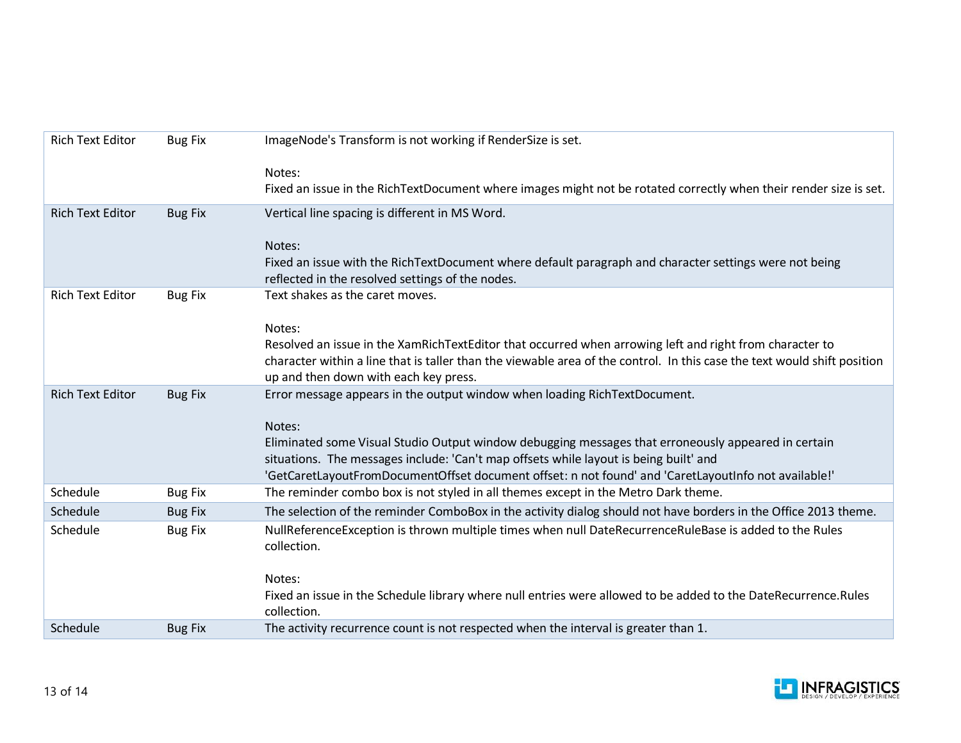| <b>Rich Text Editor</b> | <b>Bug Fix</b> | ImageNode's Transform is not working if RenderSize is set.                                                                                                                                   |
|-------------------------|----------------|----------------------------------------------------------------------------------------------------------------------------------------------------------------------------------------------|
|                         |                | Notes:                                                                                                                                                                                       |
|                         |                | Fixed an issue in the RichTextDocument where images might not be rotated correctly when their render size is set.                                                                            |
|                         |                |                                                                                                                                                                                              |
| <b>Rich Text Editor</b> | <b>Bug Fix</b> | Vertical line spacing is different in MS Word.                                                                                                                                               |
|                         |                | Notes:                                                                                                                                                                                       |
|                         |                | Fixed an issue with the RichTextDocument where default paragraph and character settings were not being                                                                                       |
|                         |                | reflected in the resolved settings of the nodes.                                                                                                                                             |
| <b>Rich Text Editor</b> | <b>Bug Fix</b> | Text shakes as the caret moves.                                                                                                                                                              |
|                         |                |                                                                                                                                                                                              |
|                         |                | Notes:                                                                                                                                                                                       |
|                         |                | Resolved an issue in the XamRichTextEditor that occurred when arrowing left and right from character to                                                                                      |
|                         |                | character within a line that is taller than the viewable area of the control. In this case the text would shift position                                                                     |
|                         |                | up and then down with each key press.                                                                                                                                                        |
| <b>Rich Text Editor</b> | <b>Bug Fix</b> | Error message appears in the output window when loading RichTextDocument.                                                                                                                    |
|                         |                |                                                                                                                                                                                              |
|                         |                | Notes:                                                                                                                                                                                       |
|                         |                | Eliminated some Visual Studio Output window debugging messages that erroneously appeared in certain<br>situations. The messages include: 'Can't map offsets while layout is being built' and |
|                         |                | 'GetCaretLayoutFromDocumentOffset document offset: n not found' and 'CaretLayoutInfo not available!'                                                                                         |
| Schedule                | <b>Bug Fix</b> | The reminder combo box is not styled in all themes except in the Metro Dark theme.                                                                                                           |
| Schedule                | <b>Bug Fix</b> | The selection of the reminder ComboBox in the activity dialog should not have borders in the Office 2013 theme.                                                                              |
| Schedule                |                | NullReferenceException is thrown multiple times when null DateRecurrenceRuleBase is added to the Rules                                                                                       |
|                         | <b>Bug Fix</b> | collection.                                                                                                                                                                                  |
|                         |                |                                                                                                                                                                                              |
|                         |                | Notes:                                                                                                                                                                                       |
|                         |                | Fixed an issue in the Schedule library where null entries were allowed to be added to the DateRecurrence.Rules                                                                               |
|                         |                | collection.                                                                                                                                                                                  |
| Schedule                | <b>Bug Fix</b> | The activity recurrence count is not respected when the interval is greater than 1.                                                                                                          |